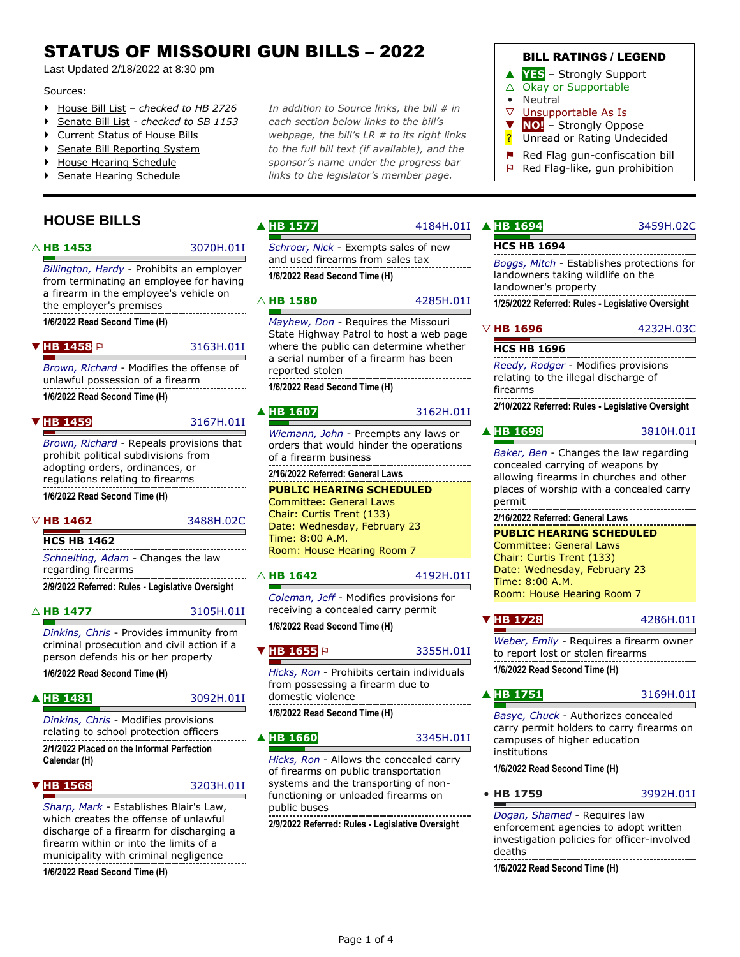# STATUS OF MISSOURI GUN BILLS – 2022

Last Updated 2/18/2022 at 8:30 pm

#### Sources:

- [House Bill List](https://house.mo.gov/billlist.aspx?year=2022) *– checked to HB 2726*
- [Senate Bill List](https://senate.mo.gov/22info/BTS_Web/BillList.aspx?SessionType=R) *- checked to SB 1153*
- ▶ [Current Status of House Bills](https://house.mo.gov/newbillreport.aspx?year=2022&code=R&select=currentstatus)
- [Senate Bill Reporting System](https://www.senate.mo.gov/BRS_Web/Main.aspx)
- [House Hearing Schedule](https://www.house.mo.gov/HearingsTimeOrder.aspx)
- [Senate Hearing Schedule](https://www.senate.mo.gov/hearingsschedule/hrings.htm)

# **HOUSE BILLS**

#### △ **[HB 1453](https://house.mo.gov/Bill.aspx?bill=HB1453&year=2022&code=R)** [3070H.01I](https://house.mo.gov/billtracking/bills221/hlrbillspdf/3070H.01I.pdf)

*[Billington, Hardy](https://house.mo.gov/memberdetails.aspx?district=152&year=2022&code=R)* - Prohibits an employer from terminating an employee for having a firearm in the employee's vehicle on the employer's premises

**1/6/2022 Read Second Time (H)**

#### **[HB 1458](https://house.mo.gov/Bill.aspx?bill=HB1458&year=2022&code=R)** P [3163H.01I](https://house.mo.gov/billtracking/bills221/hlrbillspdf/3163H.01I.pdf)

*[Brown, Richard](https://house.mo.gov/memberdetails.aspx?district=027&year=2022&code=R)* - Modifies the offense of

unlawful possession of a firearm **1/6/2022 Read Second Time (H)**

▼ **[HB 1459](https://house.mo.gov/Bill.aspx?bill=HB1459&year=2022&code=R)** [3167H.01I](https://house.mo.gov/billtracking/bills221/hlrbillspdf/3167H.01I.pdf)

*[Brown, Richard](https://house.mo.gov/memberdetails.aspx?district=027&year=2022&code=R)* - Repeals provisions that prohibit political subdivisions from adopting orders, ordinances, or regulations relating to firearms **1/6/2022 Read Second Time (H)**

**HCS HB 1462**

*[Schnelting, Adam](https://house.mo.gov/memberdetails.aspx?district=104&year=2022&code=R)* - Changes the law regarding firearms

#### △ **[HB 1477](https://house.mo.gov/Bill.aspx?bill=HB1477&year=2022&code=R)** [3105H.01I](https://house.mo.gov/billtracking/bills221/hlrbillspdf/3105H.01I.pdf)

*[Dinkins, Chris](https://house.mo.gov/memberdetails.aspx?district=144&year=2022&code=R)* - Provides immunity from criminal prosecution and civil action if a person defends his or her property **1/6/2022 Read Second Time (H)**

#### ▲ [HB 1481](https://house.mo.gov/Bill.aspx?bill=HB1481&year=2022&code=R) [3092H.01I](https://house.mo.gov/billtracking/bills221/hlrbillspdf/3092H.01I.pdf)

*[Dinkins, Chris](https://house.mo.gov/memberdetails.aspx?district=144&year=2022&code=R)* - Modifies provisions relating to school protection officers **2/1/2022 Placed on the Informal Perfection Calendar (H)**

▼ **[HB 1568](https://house.mo.gov/Bill.aspx?bill=HB1568&year=2022&code=R)** [3203H.01I](https://house.mo.gov/billtracking/bills221/hlrbillspdf/3203H.01I.pdf)

*[Sharp, Mark](https://house.mo.gov/memberdetails.aspx?district=036&year=2022&code=R)* - Establishes Blair's Law, which creates the offense of unlawful discharge of a firearm for discharging a firearm within or into the limits of a municipality with criminal negligence

**1/6/2022 Read Second Time (H)**

*In addition to Source links, the bill # in each section below links to the bill's webpage, the bill's LR # to its right links to the full bill text (if available), and the sponsor's name under the progress bar links to the legislator's member page.*

 $\triangle$  [HB 1577](https://house.mo.gov/Bill.aspx?bill=HB1577&year=2022&code=R)

*[Schroer, Nick](https://house.mo.gov/memberdetails.aspx?district=107&year=2022&code=R)* - Exempts sales of new and used firearms from sales tax **1/6/2022 Read Second Time (H)**

#### △ **[HB 1580](https://house.mo.gov/Bill.aspx?bill=HB1580&year=2022&code=R)** [4285H.01I](https://house.mo.gov/billtracking/bills221/hlrbillspdf/4285H.01I.pdf)

*[Mayhew, Don](https://house.mo.gov/memberdetails.aspx?district=121&year=2022&code=R)* - Requires the Missouri State Highway Patrol to host a web page where the public can determine whether a serial number of a firearm has been reported stolen \_\_\_\_\_\_\_\_\_\_\_\_\_\_\_\_\_\_\_\_\_\_\_\_\_\_

**1/6/2022 Read Second Time (H)**

*[Wiemann, John](https://house.mo.gov/memberdetails.aspx?district=103&year=2022&code=R)* - Preempts any laws or orders that would hinder the operations of a firearm business

**2/16/2022 Referred: General Laws**

**PUBLIC HEARING SCHEDULED** Committee: General Laws Chair: Curtis Trent (133) Date: Wednesday, February 23 Time: 8:00 A.M. Room: House Hearing Room 7

### $\triangle$  **[HB 1642](https://house.mo.gov/Bill.aspx?bill=HB1642&year=2022&code=R)** [4192H.01I](https://house.mo.gov/billtracking/bills221/hlrbillspdf/4192H.01I.pdf)

*[Coleman, Jeff](https://house.mo.gov/memberdetails.aspx?district=032&year=2022&code=R)* - Modifies provisions for receiving a concealed carry permit **1/6/2022 Read Second Time (H)**

#### **[HB 1655](https://house.mo.gov/Bill.aspx?bill=HB1655&year=2022&code=R)** P [3355H.01I](https://house.mo.gov/billtracking/bills221/hlrbillspdf/3355H.01I.pdf)

*[Hicks, Ron](https://house.mo.gov/memberdetails.aspx?district=102&year=2022&code=R)* - Prohibits certain individuals from possessing a firearm due to

domestic violence

### **1/6/2022 Read Second Time (H)**

#### **[HB 1660](https://house.mo.gov/Bill.aspx?bill=HB1660&year=2022&code=R)** [3345H.01I](https://house.mo.gov/billtracking/bills221/hlrbillspdf/3345H.01I.pdf)

*[Hicks, Ron](https://house.mo.gov/memberdetails.aspx?district=102&year=2022&code=R)* - Allows the concealed carry of firearms on public transportation systems and the transporting of nonfunctioning or unloaded firearms on public buses

**2/9/2022 Referred: Rules - Legislative Oversight**

### BILL RATINGS / LEGEND

- ▲ **YES** Strongly Support
- $\triangle$  Okay or Supportable
- Neutral
- ▽ Unsupportable As Is
- ▼ **NO!** Strongly Oppose
- ? Unread or Rating Undecided
- $\blacksquare$  Red Flag gun-confiscation bill
- ⚐ Red Flag-like, gun prohibition

### 4184H.01I ▲ [HB 1694](https://house.mo.gov/Bill.aspx?bill=HB1694&year=2022&code=R) [3459H.02C](https://house.mo.gov/billtracking/bills221/hlrbillspdf/3459H.02C.pdf)

### **HCS HB 1694**

*[Boggs, Mitch](https://house.mo.gov/memberdetails.aspx?district=157&year=2022&code=R)* - Establishes protections for landowners taking wildlife on the landowner's property

**1/25/2022 Referred: Rules - Legislative Oversight**

# ▽ **[HB 1696](https://house.mo.gov/Bill.aspx?bill=HB1696&year=2022&code=R)** [4232H.03C](https://house.mo.gov/billtracking/bills221/hlrbillspdf/4232H.03C.pdf)

### **HCS HB 1696**

*[Reedy, Rodger](https://house.mo.gov/memberdetails.aspx?district=057&year=2022&code=R)* - Modifies provisions relating to the illegal discharge of firearms

**2/10/2022 Referred: Rules - Legislative Oversight**

### ▲ <mark>[HB 1698](https://house.mo.gov/Bill.aspx?bill=HB1698&year=2022&code=R)</mark> [3810H.01I](https://house.mo.gov/billtracking/bills221/hlrbillspdf/3810H.01I.pdf)

*[Baker, Ben](https://house.mo.gov/memberdetails.aspx?district=160&year=2022&code=R)* - Changes the law regarding concealed carrying of weapons by allowing firearms in churches and other places of worship with a concealed carry permit 

# **2/16/2022 Referred: General Laws**

**PUBLIC HEARING SCHEDULED** Committee: General Laws

Chair: Curtis Trent (133) Date: Wednesday, February 23 Time: 8:00 A.M. Room: House Hearing Room 7

# **[HB 1728](https://house.mo.gov/Bill.aspx?bill=HB1728&year=2022&code=R)** [4286H.01I](https://house.mo.gov/billtracking/bills221/hlrbillspdf/4286H.01I.pdf)

*[Weber, Emily](https://house.mo.gov/memberdetails.aspx?district=024&year=2022&code=R)* - Requires a firearm owner to report lost or stolen firearms **1/6/2022 Read Second Time (H)**

 $\blacksquare$ 

▲ [HB 1751](https://house.mo.gov/Bill.aspx?bill=HB1751&year=2022&code=R) [3169H.01I](https://house.mo.gov/billtracking/bills221/hlrbillspdf/3169H.01I.pdf)

*[Basye, Chuck](https://house.mo.gov/memberdetails.aspx?district=047&year=2022&code=R)* - Authorizes concealed carry permit holders to carry firearms on campuses of higher education institutions -----------------------**1/6/2022 Read Second Time (H)**

• **[HB 1759](https://house.mo.gov/Bill.aspx?bill=HB1759&year=2022&code=R)** [3992H.01I](https://house.mo.gov/billtracking/bills221/hlrbillspdf/3992H.01I.pdf)

*[Dogan, Shamed](https://house.mo.gov/memberdetails.aspx?district=098&year=2022&code=R)* - Requires law enforcement agencies to adopt written investigation policies for officer-involved deaths

**1/6/2022 Read Second Time (H)**

# ▲ [HB 1607](https://house.mo.gov/Bill.aspx?bill=HB1607&year=2022&code=R) [3162H.01I](https://house.mo.gov/billtracking/bills221/hlrbillspdf/3162H.01I.pdf)

# ▽ **[HB 1462](https://house.mo.gov/Bill.aspx?bill=HB1462&year=2022&code=R)** [3488H.02C](https://house.mo.gov/billtracking/bills221/hlrbillspdf/3488H.02C.pdf)

# **2/9/2022 Referred: Rules - Legislative Oversight**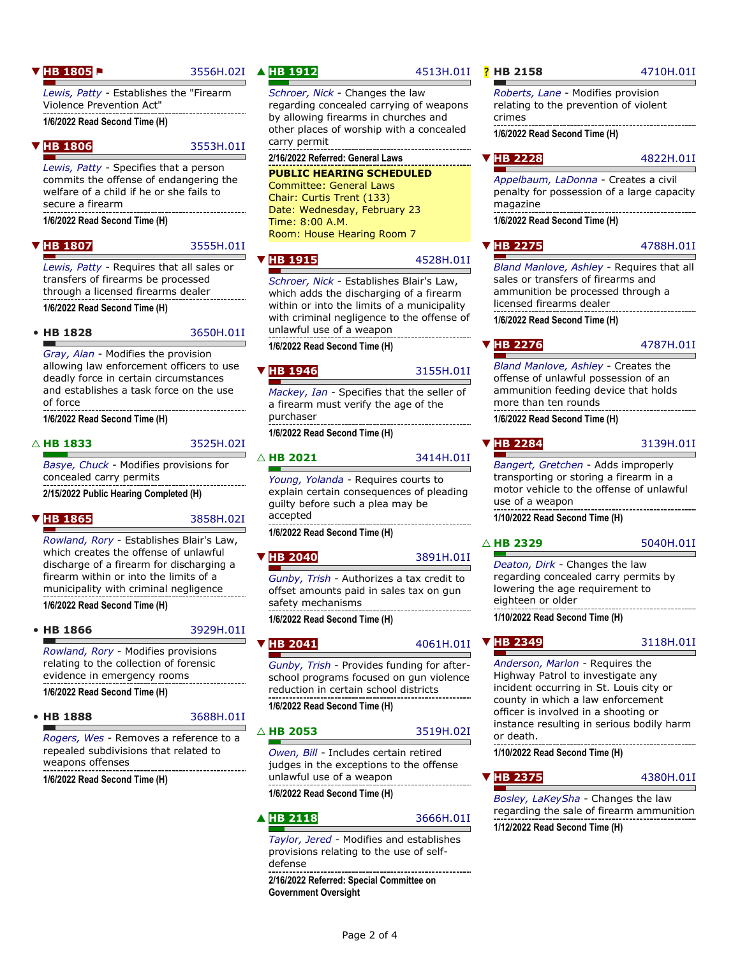#### **[HB 1805](https://house.mo.gov/Bill.aspx?bill=HB1805&year=2022&code=R) P** [3556H.02I](https://house.mo.gov/billtracking/bills221/hlrbillspdf/3556H.02I.pdf)

*[Lewis, Patty](https://house.mo.gov/memberdetails.aspx?district=025&year=2022&code=R)* - Establishes the "Firearm Violence Prevention Act" **1/6/2022 Read Second Time (H)**

**[HB 1806](https://house.mo.gov/Bill.aspx?bill=HB1806&year=2022&code=R)** [3553H.01I](https://house.mo.gov/billtracking/bills221/hlrbillspdf/3553H.01I.pdf)

*[Lewis, Patty](https://house.mo.gov/memberdetails.aspx?district=025&year=2022&code=R)* - Specifies that a person commits the offense of endangering the welfare of a child if he or she fails to secure a firearm

**1/6/2022 Read Second Time (H)**

▼ **[HB 1807](https://house.mo.gov/Bill.aspx?bill=HB1807&year=2022&code=R)** [3555H.01I](https://house.mo.gov/billtracking/bills221/hlrbillspdf/3555H.01I.pdf)

*[Lewis, Patty](https://house.mo.gov/memberdetails.aspx?district=025&year=2022&code=R)* - Requires that all sales or transfers of firearms be processed through a licensed firearms dealer **1/6/2022 Read Second Time (H)**

• **[HB 1828](https://house.mo.gov/Bill.aspx?bill=HB1828&year=2022&code=R)** [3650H.01I](https://house.mo.gov/billtracking/bills221/hlrbillspdf/3650H.01I.pdf)

*[Gray, Alan](https://house.mo.gov/memberdetails.aspx?district=075&year=2022&code=R)* - Modifies the provision allowing law enforcement officers to use

deadly force in certain circumstances and establishes a task force on the use of force ---------------------**1/6/2022 Read Second Time (H)**

△ **[HB 1833](https://house.mo.gov/Bill.aspx?bill=HB1833&year=2022&code=R)** [3525H.02I](https://house.mo.gov/billtracking/bills221/hlrbillspdf/3525H.02I.pdf)

*[Basye, Chuck](https://house.mo.gov/memberdetails.aspx?district=047&year=2022&code=R)* - Modifies provisions for concealed carry permits

**2/15/2022 Public Hearing Completed (H)**

#### **[HB 1865](https://house.mo.gov/Bill.aspx?bill=HB1865&year=2022&code=R)** [3858H.02I](https://house.mo.gov/billtracking/bills221/hlrbillspdf/3858H.02I.pdf)

*[Rowland, Rory](https://house.mo.gov/memberdetails.aspx?district=029&year=2022&code=R)* - Establishes Blair's Law, which creates the offense of unlawful discharge of a firearm for discharging a firearm within or into the limits of a municipality with criminal negligence **1/6/2022 Read Second Time (H)**

#### • **[HB 1866](https://house.mo.gov/Bill.aspx?bill=HB1866&year=2022&code=R)** [3929H.01I](https://house.mo.gov/billtracking/bills221/hlrbillspdf/3929H.01I.pdf)

*[Rowland, Rory](https://house.mo.gov/memberdetails.aspx?district=029&year=2022&code=R)* - Modifies provisions relating to the collection of forensic

evidence in emergency rooms **1/6/2022 Read Second Time (H)**

# • **[HB 1888](https://house.mo.gov/Bill.aspx?bill=HB1888&year=2022&code=R)** [3688H.01I](https://house.mo.gov/billtracking/bills221/hlrbillspdf/3688H.01I.pdf)

*[Rogers, Wes](https://house.mo.gov/memberdetails.aspx?district=018&year=2022&code=R)* - Removes a reference to a repealed subdivisions that related to weapons offenses

**1/6/2022 Read Second Time (H)**

### ▲ **[HB 1912](https://house.mo.gov/Bill.aspx?bill=HB1912&year=2022&code=R)** [4513H.01I](https://house.mo.gov/billtracking/bills221/hlrbillspdf/4513H.01I.pdf)

*[Schroer, Nick](https://house.mo.gov/memberdetails.aspx?district=107&year=2022&code=R)* - Changes the law regarding concealed carrying of weapons by allowing firearms in churches and other places of worship with a concealed carry permit

**2/16/2022 Referred: General Laws**

#### **PUBLIC HEARING SCHEDULED**

Committee: General Laws Chair: Curtis Trent (133) Date: Wednesday, February 23 Time: 8:00 A.M. Room: House Hearing Room 7

### **[HB 1915](https://house.mo.gov/Bill.aspx?bill=HB1915&year=2022&code=R)** [4528H.01I](https://house.mo.gov/billtracking/bills221/hlrbillspdf/4528H.01I.pdf)

*[Schroer, Nick](https://house.mo.gov/memberdetails.aspx?district=107&year=2022&code=R)* - Establishes Blair's Law, which adds the discharging of a firearm within or into the limits of a municipality with criminal negligence to the offense of unlawful use of a weapon

**1/6/2022 Read Second Time (H)**

#### **[HB 1946](https://house.mo.gov/Bill.aspx?bill=HB1946&year=2022&code=R)** [3155H.01I](https://house.mo.gov/billtracking/bills221/hlrbillspdf/3155H.01I.pdf)

*[Mackey, Ian](https://house.mo.gov/memberdetails.aspx?district=087&year=2022&code=R)* - Specifies that the seller of a firearm must verify the age of the purchaser

**1/6/2022 Read Second Time (H)**

### △ **[HB 2021](https://house.mo.gov/Bill.aspx?bill=HB2021&year=2022&code=R)** [3414H.01I](https://house.mo.gov/billtracking/bills221/hlrbillspdf/3414H.01I.pdf)

*[Young, Yolanda](https://house.mo.gov/memberdetails.aspx?district=022&year=2022&code=R)* - Requires courts to explain certain consequences of pleading guilty before such a plea may be accepted

#### **1/6/2022 Read Second Time (H)**

▼ **[HB 2040](https://house.mo.gov/Bill.aspx?bill=HB2040&year=2022&code=R)** [3891H.01I](https://house.mo.gov/billtracking/bills221/hlrbillspdf/3891H.01I.pdf)

*[Gunby, Trish](https://house.mo.gov/memberdetails.aspx?district=099&year=2022&code=R)* - Authorizes a tax credit to offset amounts paid in sales tax on gun safety mechanisms

**1/6/2022 Read Second Time (H)**

### **[HB 2041](https://house.mo.gov/Bill.aspx?bill=HB2041&year=2022&code=R)** [4061H.01I](https://house.mo.gov/billtracking/bills221/hlrbillspdf/4061H.01I.pdf)

*[Gunby, Trish](https://house.mo.gov/memberdetails.aspx?district=099&year=2022&code=R)* - Provides funding for afterschool programs focused on gun violence reduction in certain school districts **1/6/2022 Read Second Time (H)**

#### △ **[HB 2053](https://house.mo.gov/Bill.aspx?bill=HB2053&year=2022&code=R)** [3519H.02I](https://house.mo.gov/billtracking/bills221/hlrbillspdf/3519H.02I.pdf)

*[Owen, Bill](https://house.mo.gov/memberdetails.aspx?district=131&year=2022&code=R)* - Includes certain retired judges in the exceptions to the offense unlawful use of a weapon

#### **1/6/2022 Read Second Time (H)**

▲ [HB 2118](https://house.mo.gov/Bill.aspx?bill=HB2118&year=2022&code=R) [3666H.01I](https://house.mo.gov/billtracking/bills221/hlrbillspdf/3666H.01I.pdf)

### *[Taylor, Jered](https://house.mo.gov/memberdetails.aspx?district=139&year=2022&code=R)* - Modifies and establishes provisions relating to the use of selfdefense

**2/16/2022 Referred: Special Committee on Government Oversight**

*[Roberts, Lane](https://house.mo.gov/memberdetails.aspx?district=161&year=2022&code=R)* - Modifies provision relating to the prevention of violent crimes

**1/6/2022 Read Second Time (H)**

| <b>THB 2228</b> | 4822H.01I |
|-----------------|-----------|
|-----------------|-----------|

*[Appelbaum, LaDonna](https://house.mo.gov/memberdetails.aspx?district=071&year=2022&code=R)* - Creates a civil penalty for possession of a large capacity magazine

**1/6/2022 Read Second Time (H)**

### ▼ **[HB 2275](https://house.mo.gov/Bill.aspx?bill=HB2275&year=2022&code=R)** [4788H.01I](https://house.mo.gov/billtracking/bills221/hlrbillspdf/4788H.01I.pdf)

*[Bland Manlove, Ashley](https://house.mo.gov/memberdetails.aspx?district=026&year=2022&code=R)* - Requires that all sales or transfers of firearms and ammunition be processed through a licensed firearms dealer **1/6/2022 Read Second Time (H)**

#### ▼ **[HB 2276](https://house.mo.gov/Bill.aspx?bill=HB2276&year=2022&code=R)** [4787H.01I](https://house.mo.gov/billtracking/bills221/hlrbillspdf/4787H.01I.pdf)

*[Bland Manlove, Ashley](https://house.mo.gov/memberdetails.aspx?district=026&year=2022&code=R)* - Creates the offense of unlawful possession of an ammunition feeding device that holds more than ten rounds . . . . . . . . . . . . . . . . . . . . **1/6/2022 Read Second Time (H)**

▼ **[HB 2284](https://house.mo.gov/Bill.aspx?bill=HB2284&year=2022&code=R)** [3139H.01I](https://house.mo.gov/billtracking/bills221/hlrbillspdf/3139H.01I.pdf) *[Bangert, Gretchen](https://house.mo.gov/memberdetails.aspx?district=069&year=2022&code=R)* - Adds improperly transporting or storing a firearm in a

motor vehicle to the offense of unlawful use of a weapon **1/10/2022 Read Second Time (H)**

### △ **[HB 2329](https://house.mo.gov/Bill.aspx?bill=HB2329&year=2022&code=R)** [5040H.01I](https://house.mo.gov/billtracking/bills221/hlrbillspdf/5040H.01I.pdf)

*[Deaton, Dirk](https://house.mo.gov/memberdetails.aspx?district=159&year=2022&code=R)* - Changes the law regarding concealed carry permits by lowering the age requirement to eighteen or older

**1/10/2022 Read Second Time (H)**

**[HB 2349](https://house.mo.gov/Bill.aspx?bill=HB2349&year=2022&code=R)** [3118H.01I](https://house.mo.gov/billtracking/bills221/hlrbillspdf/3118H.01I.pdf)

*[Anderson, Marlon](https://house.mo.gov/memberdetails.aspx?district=076&year=2022&code=R)* - Requires the Highway Patrol to investigate any incident occurring in St. Louis city or county in which a law enforcement officer is involved in a shooting or instance resulting in serious bodily harm or death.

**1/10/2022 Read Second Time (H)**

# **[HB 2375](https://house.mo.gov/Bill.aspx?bill=HB2375&year=2022&code=R)** [4380H.01I](https://house.mo.gov/billtracking/bills221/hlrbillspdf/4380H.01I.pdf)

*[Bosley, LaKeySha](https://house.mo.gov/memberdetails.aspx?district=079&year=2022&code=R)* - Changes the law regarding the sale of firearm ammunition **1/12/2022 Read Second Time (H)**

### **P** [HB 2158](https://house.mo.gov/Bill.aspx?bill=HB2158&year=2022&code=R) [4710H.01I](https://house.mo.gov/billtracking/bills221/hlrbillspdf/4710H.01I.pdf)

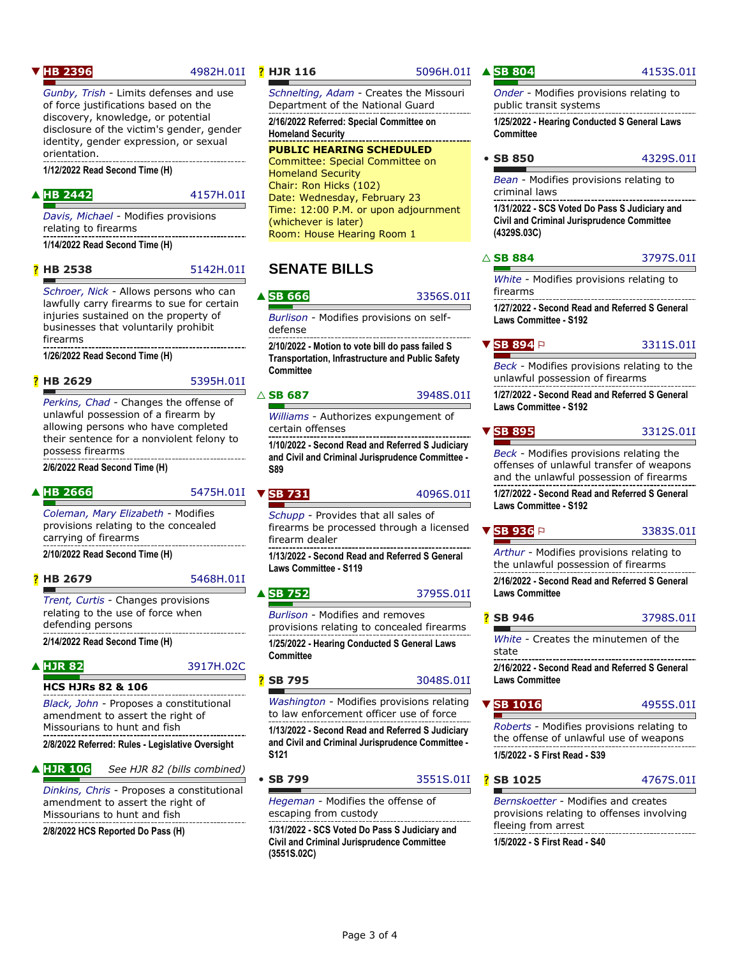### **[HB 2396](https://house.mo.gov/Bill.aspx?bill=HB2396&year=2022&code=R)** [4982H.01I](https://house.mo.gov/billtracking/bills221/hlrbillspdf/4982H.01I.pdf)

*[Gunby, Trish](https://house.mo.gov/memberdetails.aspx?district=099&year=2022&code=R)* - Limits defenses and use of force justifications based on the discovery, knowledge, or potential disclosure of the victim's gender, gender identity, gender expression, or sexual orientation.

**1/12/2022 Read Second Time (H)**

#### ▲ **[HB 2442](https://house.mo.gov/Bill.aspx?bill=HB2442&year=2022&code=R)** [4157H.01I](https://house.mo.gov/billtracking/bills221/hlrbillspdf/4157H.01I.pdf)

*[Davis, Michael](https://house.mo.gov/memberdetails.aspx?district=056&year=2022&code=R)* - Modifies provisions relating to firearms **1/14/2022 Read Second Time (H)**

? **[HB 2538](https://house.mo.gov/Bill.aspx?bill=HB2538&year=2022&code=R)** [5142H.01I](https://house.mo.gov/billtracking/bills221/hlrbillspdf/5142H.01I.pdf)

*[Schroer, Nick](https://house.mo.gov/memberdetails.aspx?district=107&year=2022&code=R)* - Allows persons who can lawfully carry firearms to sue for certain injuries sustained on the property of businesses that voluntarily prohibit firearms

**1/26/2022 Read Second Time (H)**

? **[HB 2629](https://house.mo.gov/Bill.aspx?bill=HB2629&year=2022&code=R)** [5395H.01I](https://house.mo.gov/billtracking/bills221/hlrbillspdf/5395H.01I.pdf)

*[Perkins, Chad](https://house.mo.gov/memberdetails.aspx?district=040&year=2022&code=R)* - Changes the offense of unlawful possession of a firearm by allowing persons who have completed their sentence for a nonviolent felony to possess firearms

**2/6/2022 Read Second Time (H)**

#### ▲ [HB 2666](https://house.mo.gov/Bill.aspx?bill=HB2666&year=2022&code=R) [5475H.01I](https://house.mo.gov/billtracking/bills221/hlrbillspdf/5475H.01I.pdf)

*[Coleman, Mary Elizabeth](https://house.mo.gov/memberdetails.aspx?district=097&year=2022&code=R)* - Modifies provisions relating to the concealed carrying of firearms

**2/10/2022 Read Second Time (H)**

? **[HB 2679](https://house.mo.gov/Bill.aspx?bill=HB2679&year=2022&code=R)** [5468H.01I](https://house.mo.gov/billtracking/bills221/hlrbillspdf/5468H.01I.pdf)

*[Trent, Curtis](https://house.mo.gov/memberdetails.aspx?district=133&year=2022&code=R)* - Changes provisions relating to the use of force when defending persons

**2/14/2022 Read Second Time (H)**

### ▲ **[HJR 82](https://house.mo.gov/Bill.aspx?bill=HJR82&year=2022&code=R)** [3917H.02C](https://house.mo.gov/billtracking/bills221/hlrbillspdf/3917H.02C.pdf)

**HCS HJRs 82 & 106**

*[Black, John](https://house.mo.gov/memberdetails.aspx?district=137&year=2022&code=R)* - Proposes a constitutional amendment to assert the right of Missourians to hunt and fish

**2/8/2022 Referred: Rules - Legislative Oversight**

▲ **[HJR 106](https://house.mo.gov/Bill.aspx?bill=HJR106&year=2022&code=R)** *See HJR 82 (bills combined)*

*[Dinkins, Chris](https://house.mo.gov/memberdetails.aspx?district=144&year=2022&code=R)* - Proposes a constitutional amendment to assert the right of Missourians to hunt and fish

**2/8/2022 HCS Reported Do Pass (H)**

#### **P [HJR 116](https://house.mo.gov/Bill.aspx?bill=HJR116&year=2022&code=R)** [5096H.01I](https://house.mo.gov/billtracking/bills221/hlrbillspdf/5096H.01I.pdf)

*[Schnelting, Adam](https://house.mo.gov/memberdetails.aspx?district=104&year=2022&code=R)* - Creates the Missouri Department of the National Guard

**2/16/2022 Referred: Special Committee on Homeland Security**

**PUBLIC HEARING SCHEDULED** Committee: Special Committee on Homeland Security Chair: Ron Hicks (102) Date: Wednesday, February 23 Time: 12:00 P.M. or upon adjournment (whichever is later) Room: House Hearing Room 1

# **SENATE BILLS**

#### **[SB 666](https://www.senate.mo.gov/22info/BTS_Web/Bill.aspx?SessionType=R&BillID=71259696)** [3356S.01I](https://senate.mo.gov/22info/pdf-bill/intro/SB666.pdf)

*[Burlison](https://www.senate.mo.gov/22info/members/mem20.htm)* - Modifies provisions on selfdefense

**2/10/2022 - Motion to vote bill do pass failed S Transportation, Infrastructure and Public Safety Committee**

#### $\triangle$  **[SB 687](https://www.senate.mo.gov/22info/BTS_Web/Bill.aspx?SessionType=R&BillID=71259643)** [3948S.01I](https://senate.mo.gov/22info/pdf-bill/intro/SB687.pdf)

*[Williams](https://www.senate.mo.gov/22info/members/mem14.htm)* - Authorizes expungement of certain offenses

**1/10/2022 - Second Read and Referred S Judiciary and Civil and Criminal Jurisprudence Committee - S89**

### **v** [SB 731](https://www.senate.mo.gov/22info/BTS_Web/Bill.aspx?SessionType=R&BillID=71259823) [4096S.01I](https://senate.mo.gov/22info/pdf-bill/intro/SB731.pdf)

*[Schupp](https://www.senate.mo.gov/22info/members/mem24.htm)* - Provides that all sales of firearms be processed through a licensed firearm dealer

**1/13/2022 - Second Read and Referred S General Laws Committee - S119**

#### ▲ [SB 752](https://www.senate.mo.gov/22info/BTS_Web/Bill.aspx?SessionType=R&BillID=71259697) [3795S.01I](https://senate.mo.gov/22info/pdf-bill/intro/SB752.pdf)

*[Burlison](https://www.senate.mo.gov/22info/members/mem20.htm)* - Modifies and removes provisions relating to concealed firearms **1/25/2022 - Hearing Conducted S General Laws Committee**

**[SB 795](https://www.senate.mo.gov/22info/BTS_Web/Bill.aspx?SessionType=R&BillID=71259650)** [3048S.01I](https://senate.mo.gov/22info/pdf-bill/intro/SB795.pdf)

*[Washington](https://www.senate.mo.gov/22info/members/mem09.htm)* - Modifies provisions relating to law enforcement officer use of force **1/13/2022 - Second Read and Referred S Judiciary and Civil and Criminal Jurisprudence Committee - S121**

• **[SB 799](https://www.senate.mo.gov/22info/BTS_Web/Bill.aspx?SessionType=R&BillID=71259640)** [3551S.01I](https://senate.mo.gov/22info/pdf-bill/intro/SB799.pdf)

*[Hegeman](https://www.senate.mo.gov/22info/members/mem12.htm)* - Modifies the offense of escaping from custody

**1/31/2022 - SCS Voted Do Pass S Judiciary and Civil and Criminal Jurisprudence Committee (3551S.02C)**

#### *[Onder](https://www.senate.mo.gov/22info/members/mem02.htm)* - Modifies provisions relating to public transit systems

**1/25/2022 - Hearing Conducted S General Laws Committee**

|  | • SB 850 | 4329S.01I |
|--|----------|-----------|
|  |          |           |

*[Bean](https://www.senate.mo.gov/22info/members/mem25.htm)* - Modifies provisions relating to criminal laws **1/31/2022 - SCS Voted Do Pass S Judiciary and Civil and Criminal Jurisprudence Committee (4329S.03C)**

# △ **[SB 884](https://www.senate.mo.gov/22info/BTS_Web/Bill.aspx?SessionType=R&BillID=71259785)** [3797S.01I](https://senate.mo.gov/22info/pdf-bill/intro/SB884.pdf)

*[White](https://www.senate.mo.gov/22info/members/mem32.htm)* - Modifies provisions relating to firearms

**1/27/2022 - Second Read and Referred S General Laws Committee - S192**

**[SB 894](https://www.senate.mo.gov/22info/BTS_Web/Bill.aspx?SessionType=R&BillID=71259727)** P [3311S.01I](https://senate.mo.gov/22info/pdf-bill/intro/SB894.pdf) *[Beck](https://www.senate.mo.gov/22info/members/mem01.htm)* - Modifies provisions relating to the

unlawful possession of firearms

**1/27/2022 - Second Read and Referred S General Laws Committee - S192**

▼ **[SB 895](https://www.senate.mo.gov/22info/BTS_Web/Bill.aspx?SessionType=R&BillID=71259729)** [3312S.01I](https://senate.mo.gov/22info/pdf-bill/intro/SB895.pdf)

*[Beck](https://www.senate.mo.gov/22info/members/mem01.htm)* - Modifies provisions relating the offenses of unlawful transfer of weapons and the unlawful possession of firearms **1/27/2022 - Second Read and Referred S General** 

**Laws Committee - S192**

**[SB 936](https://www.senate.mo.gov/22info/BTS_Web/Bill.aspx?SessionType=R&BillID=71259844)** P [3383S.01I](https://senate.mo.gov/22info/pdf-bill/intro/SB936.pdf) *[Arthur](https://www.senate.mo.gov/22info/members/mem17.htm)* - Modifies provisions relating to

the unlawful possession of firearms **2/16/2022 - Second Read and Referred S General Laws Committee**

? **[SB 946](https://www.senate.mo.gov/22info/BTS_Web/Bill.aspx?SessionType=R&BillID=71259791)** [3798S.01I](https://senate.mo.gov/22info/pdf-bill/intro/SB946.pdf)

*[White](https://www.senate.mo.gov/22info/members/mem32.htm)* - Creates the minutemen of the state

**2/16/2022 - Second Read and Referred S General Laws Committee**

*[Roberts](https://www.senate.mo.gov/22info/members/mem05.htm)* - Modifies provisions relating to the offense of unlawful use of weapons **1/5/2022 - S First Read - S39**

? **[SB 1025](https://www.senate.mo.gov/22info/BTS_Web/Bill.aspx?SessionType=R&BillID=72600406)** [4767S.01I](https://senate.mo.gov/22info/pdf-bill/intro/SB1025.pdf)

*[Bernskoetter](https://www.senate.mo.gov/22info/members/mem06.htm)* - Modifies and creates provisions relating to offenses involving fleeing from arrest **1/5/2022 - S First Read - S40**